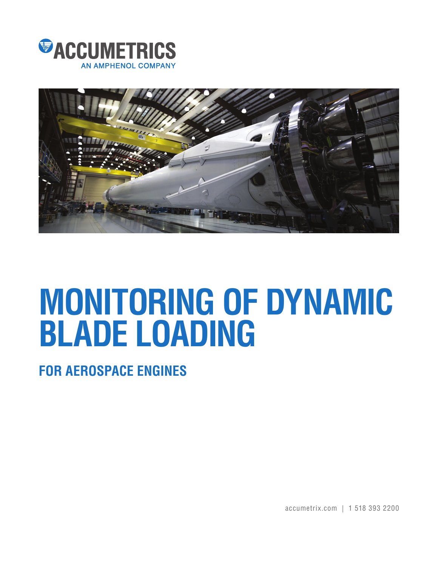



## **MONITORING OF DYNAMIC BLADE LOADING**

**FOR AEROSPACE ENGINES**

accumetrix.com | 1 518 393 2200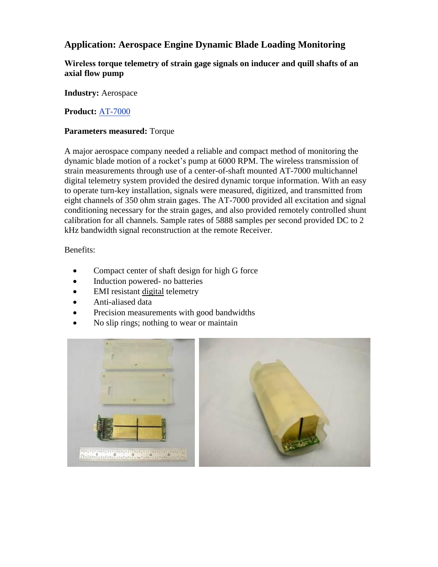## **Application: Aerospace Engine Dynamic Blade Loading Monitoring**

**Wireless torque telemetry of strain gage signals on inducer and quill shafts of an axial flow pump**

**Industry:** Aerospace

**Product:** [AT-7000](http://www.accumetrix.com/Multi-ChannelTelemetry/AT7000) 

## **Parameters measured:** Torque

A major aerospace company needed a reliable and compact method of monitoring the dynamic blade motion of a rocket's pump at 6000 RPM. The wireless transmission of strain measurements through use of a center-of-shaft mounted AT-7000 multichannel digital telemetry system provided the desired dynamic torque information. With an easy to operate turn-key installation, signals were measured, digitized, and transmitted from eight channels of 350 ohm strain gages. The AT-7000 provided all excitation and signal conditioning necessary for the strain gages, and also provided remotely controlled shunt calibration for all channels. Sample rates of 5888 samples per second provided DC to 2 kHz bandwidth signal reconstruction at the remote Receiver.

Benefits:

- Compact center of shaft design for high G force
- Induction powered- no batteries
- EMI resistant digital telemetry
- Anti-aliased data
- Precision measurements with good bandwidths
- No slip rings; nothing to wear or maintain

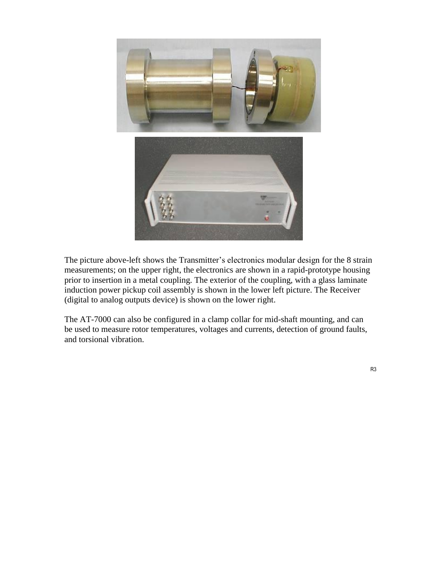

The picture above-left shows the Transmitter's electronics modular design for the 8 strain measurements; on the upper right, the electronics are shown in a rapid-prototype housing prior to insertion in a metal coupling. The exterior of the coupling, with a glass laminate induction power pickup coil assembly is shown in the lower left picture. The Receiver (digital to analog outputs device) is shown on the lower right.

The AT-7000 can also be configured in a clamp collar for mid-shaft mounting, and can be used to measure rotor temperatures, voltages and currents, detection of ground faults, and torsional vibration.